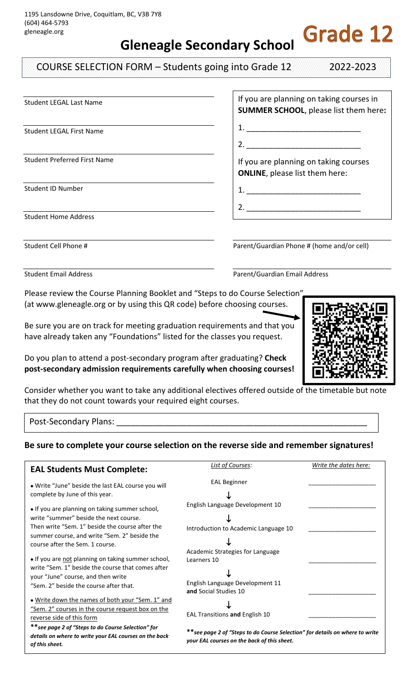**Gleneagle Secondary School**

COURSE SELECTION FORM – Students going into Grade 12 2022-2023

**Grade 12** 

| <b>Student LEGAL Last Name</b>      | If you are planning on taking courses in<br><b>SUMMER SCHOOL, please list them here:</b> |
|-------------------------------------|------------------------------------------------------------------------------------------|
| <b>Student LEGAL First Name</b>     |                                                                                          |
|                                     |                                                                                          |
| <b>Student Preferred First Name</b> | If you are planning on taking courses<br><b>ONLINE</b> , please list them here:          |
| <b>Student ID Number</b>            |                                                                                          |
|                                     | 2. $\qquad \qquad$                                                                       |
| <b>Student Home Address</b>         |                                                                                          |
|                                     |                                                                                          |
| Student Cell Phone #                | Parent/Guardian Phone # (home and/or cell)                                               |

Student Email Address **Parent/Guardian Email Address** Parent/Guardian Email Address

Please review the Course Planning Booklet and "Steps to do Course Selection" (at www.gleneagle.org or by using this QR code) before choosing courses.

Be sure you are on track for meeting graduation requirements and that you have already taken any "Foundations" listed for the classes you request.

Do you plan to attend a post-secondary program after graduating? **Check post-secondary admission requirements carefully when choosing courses!**



Consider whether you want to take any additional electives offered outside of the timetable but note that they do not count towards your required eight courses.

Post-Secondary Plans:

## **Be sure to complete your course selection on the reverse side and remember signatures!**

| <b>EAL Students Must Complete:</b>                                                                                                                                                                                                                                                                                                                                                                                        | List of Courses:                                                                                                                                                                       | Write the dates here: |
|---------------------------------------------------------------------------------------------------------------------------------------------------------------------------------------------------------------------------------------------------------------------------------------------------------------------------------------------------------------------------------------------------------------------------|----------------------------------------------------------------------------------------------------------------------------------------------------------------------------------------|-----------------------|
| . Write "June" beside the last EAL course you will<br>complete by June of this year.                                                                                                                                                                                                                                                                                                                                      | <b>EAL Beginner</b>                                                                                                                                                                    |                       |
| • If you are planning on taking summer school,<br>write "summer" beside the next course.<br>Then write "Sem. 1" beside the course after the<br>summer course, and write "Sem. 2" beside the<br>course after the Sem. 1 course.<br>• If you are not planning on taking summer school,<br>write "Sem. 1" beside the course that comes after<br>your "June" course, and then write<br>"Sem. 2" beside the course after that. | English Language Development 10<br>Introduction to Academic Language 10<br>Academic Strategies for Language<br>Learners 10<br>English Language Development 11                          |                       |
| . Write down the names of both your "Sem. 1" and<br>"Sem. 2" courses in the course request box on the<br>reverse side of this form<br>** see page 2 of "Steps to do Course Selection" for<br>details on where to write your EAL courses on the back<br>of this sheet.                                                                                                                                                     | and Social Studies 10<br>EAL Transitions and English 10<br>**see page 2 of "Steps to do Course Selection" for details on where to write<br>your EAL courses on the back of this sheet. |                       |